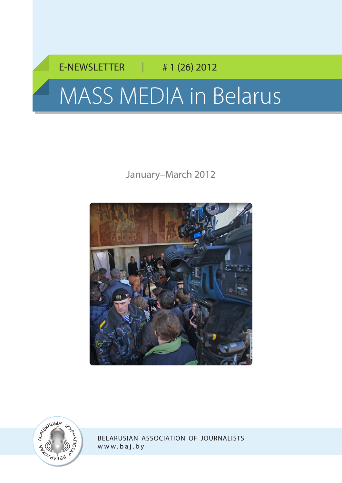# E-NEWSLETTER | # 1 (26) 2012 MASS MEDIA in Belarus

## January–March 2012





Belarusian Association of Journalists w [ww.baj.by](http://www.baj.by)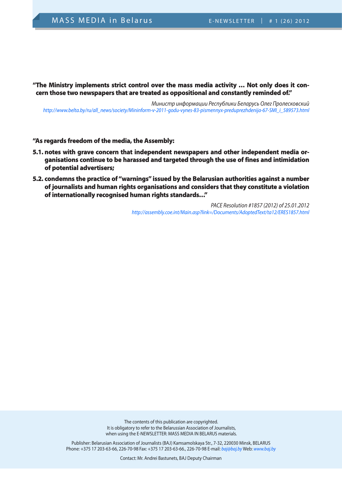"The Ministry implements strict control over the mass media activity … Not only does it concern those two newspapers that are treated as oppositional and constantly reminded of."

*Министр информации Республики Беларусь Олег Пролесковский [http://www.belta.by/ru/all\\_news/society/Mininform-v-2011-godu-vynes-83-pismennyx-preduprezhdenija-67-SMI\\_i\\_589573.html](http://www.belta.by/ru/all_news/society/Mininform-v-2011-godu-vynes-83-pismennyx-preduprezhdenija-67-SMI_i_589573.html)* 

#### "As regards freedom of the media, the Assembly:

- 5.1. notes with grave concern that independent newspapers and other independent media organisations continue to be harassed and targeted through the use of fines and intimidation of potential advertisers;
- 5.2. condemns the practice of "warnings" issued by the Belarusian authorities against a number of journalists and human rights organisations and considers that they constitute a violation of internationally recognised human rights standards…"

*PACE Resolution #1857 (2012) of 25.01.2012 <http://assembly.coe.int/Main.asp?link=/Documents/AdoptedText/ta12/ERES1857.html>*

The contents of this publication are copyrighted. It is obligatory to refer to the Belarussian Association of Journalists, when using the E-NEWSLETTER: MASS MEDIA IN BELARUS materials.

Publisher: Belarusian Association of Journalists (BAJ) Kamsamolskaya Str., 7-32, 220030 Minsk, BELARUS Phone: +375 17 203-63-66, 226-70-98 Fax: +375 17 203-63-66., 226-70-98 E-mail: *baj@baj.by* Web: *www.baj.by*

Contact: Mr. Andrei Bastunets, BAJ Deputy Chairman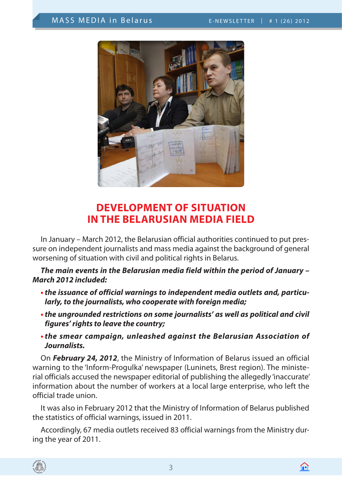

## **Development of Situation in the Belarusian Media Field**

In January – March 2012, the Belarusian official authorities continued to put pressure on independent journalists and mass media against the background of general worsening of situation with civil and political rights in Belarus.

*The main events in the Belarusian media field within the period of January – March 2012 included:* 

- **•** *the issuance of official warnings to independent media outlets and, particularly, to the journalists, who cooperate with foreign media;*
- **•** *the ungrounded restrictions on some journalists' as well as political and civil figures' rights to leave the country;*
- **•** *the smear campaign, unleashed against the Belarusian Association of Journalists.*

On *February 24, 2012*, the Ministry of Information of Belarus issued an official warning to the 'Inform-Progulka' newspaper (Luninets, Brest region). The ministerial officials accused the newspaper editorial of publishing the allegedly 'inaccurate' information about the number of workers at a local large enterprise, who left the official trade union. **DOMAGE 1988**<br>
In January – March<br>
sure on independent<br>
worsening of situatio<br> **The main events i**<br> **March 2012 included<br>
• the issuance of o<br>
larly, to the journ<br>
• the ungrounded<br>
figures' rights to<br>
• the smear camp<br>
Jo** 

It was also in February 2012 that the Ministry of Information of Belarus published the statistics of official warnings, issued in 2011.

Accordingly, 67 media outlets received 83 official warnings from the Ministry dur-



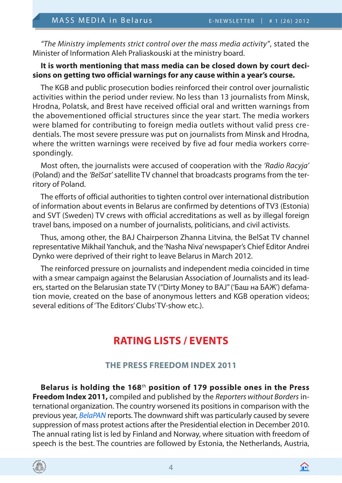*"The Ministry implements strict control over the mass media activity"*, stated the Minister of Information Aleh Praliaskouski at the ministry board.

#### **It is worth mentioning that mass media can be closed down by court decisions on getting two official warnings for any cause within a year's course.**

The KGB and public prosecution bodies reinforced their control over journalistic activities within the period under review. No less than 13 journalists from Minsk, Hrodna, Polatsk, and Brest have received official oral and written warnings from the abovementioned official structures since the year start. The media workers were blamed for contributing to foreign media outlets without valid press credentials. The most severe pressure was put on journalists from Minsk and Hrodna, where the written warnings were received by five ad four media workers correspondingly.

Most often, the journalists were accused of cooperation with the *'Radio Racyja'* (Poland) and the *'BelSat'* satellite TV channel that broadcasts programs from the territory of Poland.

The efforts of official authorities to tighten control over international distribution of information about events in Belarus are confirmed by detentions of TV3 (Estonia) and SVT (Sweden) TV crews with official accreditations as well as by illegal foreign travel bans, imposed on a number of journalists, politicians, and civil activists.

Thus, among other, the BAJ Chairperson Zhanna Litvina, the BelSat TV channel representative Mikhail Yanchuk, and the 'Nasha Niva' newspaper's Chief Editor Andrei Dynko were deprived of their right to leave Belarus in March 2012.

The reinforced pressure on journalists and independent media coincided in time with a smear campaign against the Belarusian Association of Journalists and its leaders, started on the Belarusian state TV ("Dirty Money to BAJ" ('Баш на БАЖ') defamation movie, created on the base of anonymous letters and KGB operation videos; several editions of 'The Editors' Clubs' TV-show etc.).

## **Rating Lists / Events**

## **the Press Freedom Index 2011**

**Belarus is holding the 168**th **position of 179 possible ones in the Press Freedom Index 2011,** compiled and published by the *Reporters without Borders* international organization. The country worsened its positions in comparison with the previous year, *[BelaPAN](http://www.belapan.by)* reports. The downward shift was particularly caused by severe suppression of mass protest actions after the Presidential election in December 2010. The annual rating list is led by Finland and Norway, where situation with freedom of speech is the best. The countries are followed by Estonia, the Netherlands, Austria,